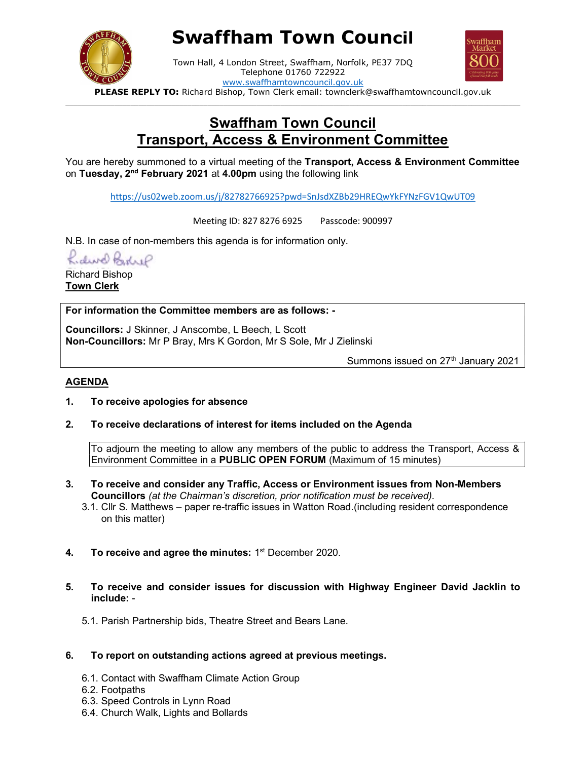

# Swaffham Town Council



Town Hall, 4 London Street, Swaffham, Norfolk, PE37 7DQ Telephone 01760 722922 www.swaffhamtowncouncil.gov.uk

PLEASE REPLY TO: Richard Bishop, Town Clerk email: townclerk@swaffhamtowncouncil.gov.uk  $\Box$ 

# Swaffham Town Council Transport, Access & Environment Committee

You are hereby summoned to a virtual meeting of the Transport, Access & Environment Committee on Tuesday, 2<sup>nd</sup> February 2021 at 4.00pm using the following link

https://us02web.zoom.us/j/82782766925?pwd=SnJsdXZBb29HREQwYkFYNzFGV1QwUT09

Meeting ID: 827 8276 6925 Passcode: 900997

N.B. In case of non-members this agenda is for information only.

Lidwe Bohre

Richard Bishop Town Clerk

For information the Committee members are as follows: -

Councillors: J Skinner, J Anscombe, L Beech, L Scott Non-Councillors: Mr P Bray, Mrs K Gordon, Mr S Sole, Mr J Zielinski

Summons issued on  $27<sup>th</sup>$  January 2021

#### AGENDA

- 1. To receive apologies for absence
- 2. To receive declarations of interest for items included on the Agenda

To adjourn the meeting to allow any members of the public to address the Transport, Access & Environment Committee in a PUBLIC OPEN FORUM (Maximum of 15 minutes)

- 3. To receive and consider any Traffic, Access or Environment issues from Non-Members Councillors (at the Chairman's discretion, prior notification must be received).
	- 3.1. Cllr S. Matthews paper re-traffic issues in Watton Road.(including resident correspondence on this matter)
- 4. To receive and agree the minutes:  $1<sup>st</sup>$  December 2020.
- 5. To receive and consider issues for discussion with Highway Engineer David Jacklin to include: -
	- 5.1. Parish Partnership bids, Theatre Street and Bears Lane.
- 6. To report on outstanding actions agreed at previous meetings.
	- 6.1. Contact with Swaffham Climate Action Group
	- 6.2. Footpaths
	- 6.3. Speed Controls in Lynn Road
	- 6.4. Church Walk, Lights and Bollards